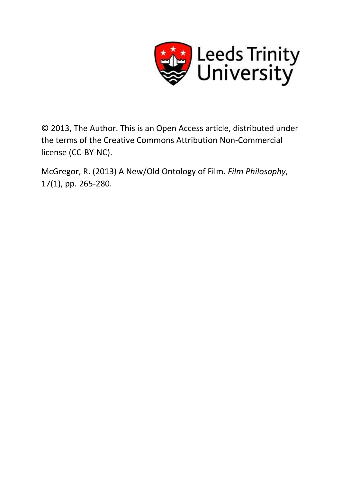

© 2013, The Author. This is an Open Access article, distributed under the terms of the Creative Commons Attribution Non-Commercial license (CC-BY-NC).

McGregor, R. (2013) A New/Old Ontology of Film. *Film Philosophy*, 17(1), pp. 265-280.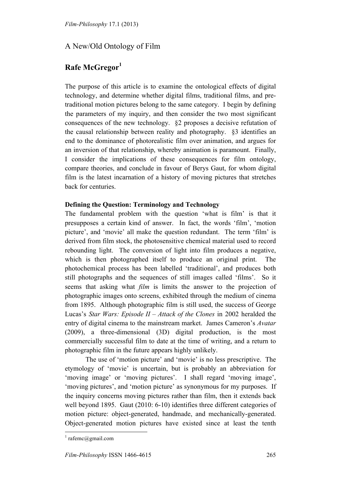# A New/Old Ontology of Film

# **Rafe McGregor<sup>1</sup>**

The purpose of this article is to examine the ontological effects of digital technology, and determine whether digital films, traditional films, and pretraditional motion pictures belong to the same category. I begin by defining the parameters of my inquiry, and then consider the two most significant consequences of the new technology. §2 proposes a decisive refutation of the causal relationship between reality and photography. §3 identifies an end to the dominance of photorealistic film over animation, and argues for an inversion of that relationship, whereby animation is paramount. Finally, I consider the implications of these consequences for film ontology, compare theories, and conclude in favour of Berys Gaut, for whom digital film is the latest incarnation of a history of moving pictures that stretches back for centuries.

## **Defining the Question: Terminology and Technology**

The fundamental problem with the question 'what is film' is that it presupposes a certain kind of answer. In fact, the words 'film', 'motion picture', and 'movie' all make the question redundant. The term 'film' is derived from film stock, the photosensitive chemical material used to record rebounding light. The conversion of light into film produces a negative, which is then photographed itself to produce an original print. The photochemical process has been labelled 'traditional', and produces both still photographs and the sequences of still images called 'films'. So it seems that asking what *film* is limits the answer to the projection of photographic images onto screens, exhibited through the medium of cinema from 1895. Although photographic film is still used, the success of George Lucas's *Star Wars: Episode II – Attack of the Clones* in 2002 heralded the entry of digital cinema to the mainstream market. James Cameron's *Avatar* (2009), a three-dimensional (3D) digital production, is the most commercially successful film to date at the time of writing, and a return to photographic film in the future appears highly unlikely.

The use of 'motion picture' and 'movie' is no less prescriptive. The etymology of 'movie' is uncertain, but is probably an abbreviation for 'moving image' or 'moving pictures'. I shall regard 'moving image', 'moving pictures', and 'motion picture' as synonymous for my purposes. If the inquiry concerns moving pictures rather than film, then it extends back well beyond 1895. Gaut (2010: 6-10) identifies three different categories of motion picture: object-generated, handmade, and mechanically-generated. Object-generated motion pictures have existed since at least the tenth

 $1$  rafemc@gmail.com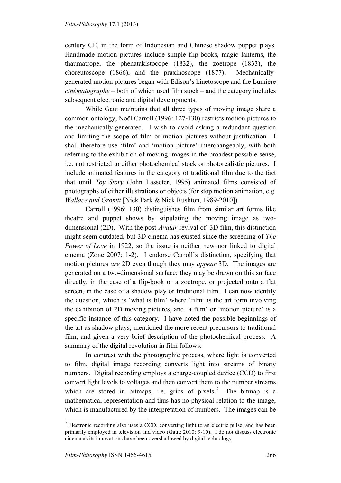century CE, in the form of Indonesian and Chinese shadow puppet plays. Handmade motion pictures include simple flip-books, magic lanterns, the thaumatrope, the phenatakistocope (1832), the zoetrope (1833), the choreutoscope (1866), and the praxinoscope (1877). Mechanicallygenerated motion pictures began with Edison's kinetoscope and the Lumière *cinématographe* – both of which used film stock – and the category includes subsequent electronic and digital developments.

While Gaut maintains that all three types of moving image share a common ontology, Noël Carroll (1996: 127-130) restricts motion pictures to the mechanically-generated. I wish to avoid asking a redundant question and limiting the scope of film or motion pictures without justification. I shall therefore use 'film' and 'motion picture' interchangeably, with both referring to the exhibition of moving images in the broadest possible sense, i.e. not restricted to either photochemical stock or photorealistic pictures. I include animated features in the category of traditional film due to the fact that until *Toy Story* (John Lasseter, 1995) animated films consisted of photographs of either illustrations or objects (for stop motion animation, e.g. *Wallace and Gromit* [Nick Park & Nick Rushton, 1989-2010]).

Carroll (1996: 130) distinguishes film from similar art forms like theatre and puppet shows by stipulating the moving image as twodimensional (2D). With the post-*Avatar* revival of 3D film, this distinction might seem outdated, but 3D cinema has existed since the screening of *The Power of Love* in 1922, so the issue is neither new nor linked to digital cinema (Zone 2007: 1-2). I endorse Carroll's distinction, specifying that motion pictures *are* 2D even though they may *appear* 3D. The images are generated on a two-dimensional surface; they may be drawn on this surface directly, in the case of a flip-book or a zoetrope, or projected onto a flat screen, in the case of a shadow play or traditional film. I can now identify the question, which is 'what is film' where 'film' is the art form involving the exhibition of 2D moving pictures, and 'a film' or 'motion picture' is a specific instance of this category. I have noted the possible beginnings of the art as shadow plays, mentioned the more recent precursors to traditional film, and given a very brief description of the photochemical process. A summary of the digital revolution in film follows.

In contrast with the photographic process, where light is converted to film, digital image recording converts light into streams of binary numbers. Digital recording employs a charge-coupled device (CCD) to first convert light levels to voltages and then convert them to the number streams, which are stored in bitmaps, i.e. grids of pixels.<sup>2</sup> The bitmap is a mathematical representation and thus has no physical relation to the image, which is manufactured by the interpretation of numbers. The images can be

<sup>&</sup>lt;sup>2</sup> Electronic recording also uses a CCD, converting light to an electric pulse, and has been primarily employed in television and video (Gaut: 2010: 9-10). I do not discuss electronic cinema as its innovations have been overshadowed by digital technology.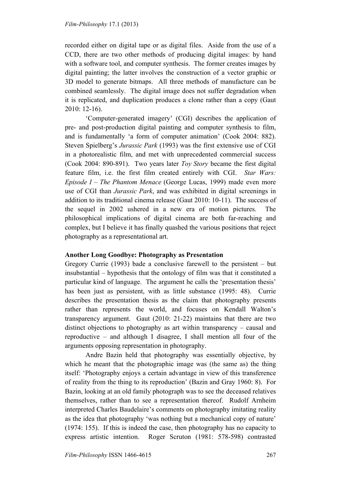recorded either on digital tape or as digital files. Aside from the use of a CCD, there are two other methods of producing digital images: by hand with a software tool, and computer synthesis. The former creates images by digital painting; the latter involves the construction of a vector graphic or 3D model to generate bitmaps. All three methods of manufacture can be combined seamlessly. The digital image does not suffer degradation when it is replicated, and duplication produces a clone rather than a copy (Gaut 2010: 12-16).

'Computer-generated imagery' (CGI) describes the application of pre- and post-production digital painting and computer synthesis to film, and is fundamentally 'a form of computer animation' (Cook 2004: 882). Steven Spielberg's *Jurassic Park* (1993) was the first extensive use of CGI in a photorealistic film, and met with unprecedented commercial success (Cook 2004: 890-891). Two years later *Toy Story* became the first digital feature film, i.e. the first film created entirely with CGI. *Star Wars: Episode I – The Phantom Menace* (George Lucas, 1999) made even more use of CGI than *Jurassic Park*, and was exhibited in digital screenings in addition to its traditional cinema release (Gaut 2010: 10-11). The success of the sequel in 2002 ushered in a new era of motion pictures. The philosophical implications of digital cinema are both far-reaching and complex, but I believe it has finally quashed the various positions that reject photography as a representational art.

### **Another Long Goodbye: Photography as Presentation**

Gregory Currie (1993) bade a conclusive farewell to the persistent – but insubstantial – hypothesis that the ontology of film was that it constituted a particular kind of language. The argument he calls the 'presentation thesis' has been just as persistent, with as little substance (1995: 48). Currie describes the presentation thesis as the claim that photography presents rather than represents the world, and focuses on Kendall Walton's transparency argument. Gaut (2010: 21-22) maintains that there are two distinct objections to photography as art within transparency – causal and reproductive – and although I disagree, I shall mention all four of the arguments opposing representation in photography.

Andre Bazin held that photography was essentially objective, by which he meant that the photographic image was (the same as) the thing itself: 'Photography enjoys a certain advantage in view of this transference of reality from the thing to its reproduction' (Bazin and Gray 1960: 8). For Bazin, looking at an old family photograph was to see the deceased relatives themselves, rather than to see a representation thereof. Rudolf Arnheim interpreted Charles Baudelaire's comments on photography imitating reality as the idea that photography 'was nothing but a mechanical copy of nature' (1974: 155). If this is indeed the case, then photography has no capacity to express artistic intention. Roger Scruton (1981: 578-598) contrasted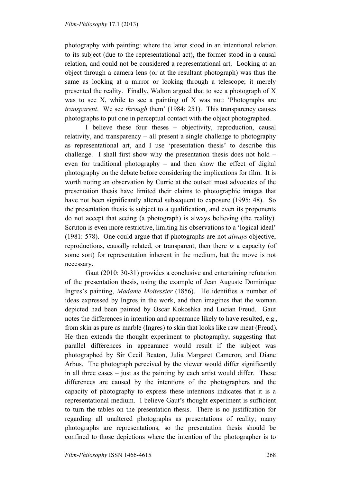photography with painting: where the latter stood in an intentional relation to its subject (due to the representational act), the former stood in a causal relation, and could not be considered a representational art. Looking at an object through a camera lens (or at the resultant photograph) was thus the same as looking at a mirror or looking through a telescope; it merely presented the reality. Finally, Walton argued that to see a photograph of X was to see X, while to see a painting of X was not: 'Photographs are *transparent*. We see *through* them' (1984: 251). This transparency causes photographs to put one in perceptual contact with the object photographed.

I believe these four theses – objectivity, reproduction, causal relativity, and transparency – all present a single challenge to photography as representational art, and I use 'presentation thesis' to describe this challenge. I shall first show why the presentation thesis does not hold – even for traditional photography – and then show the effect of digital photography on the debate before considering the implications for film. It is worth noting an observation by Currie at the outset: most advocates of the presentation thesis have limited their claims to photographic images that have not been significantly altered subsequent to exposure (1995: 48). So the presentation thesis is subject to a qualification, and even its proponents do not accept that seeing (a photograph) is always believing (the reality). Scruton is even more restrictive, limiting his observations to a 'logical ideal' (1981: 578). One could argue that if photographs are not *always* objective, reproductions, causally related, or transparent, then there *is* a capacity (of some sort) for representation inherent in the medium, but the move is not necessary.

Gaut (2010: 30-31) provides a conclusive and entertaining refutation of the presentation thesis, using the example of Jean Auguste Dominique Ingres's painting, *Madame Moitessier* (1856). He identifies a number of ideas expressed by Ingres in the work, and then imagines that the woman depicted had been painted by Oscar Kokoshka and Lucian Freud. Gaut notes the differences in intention and appearance likely to have resulted, e.g., from skin as pure as marble (Ingres) to skin that looks like raw meat (Freud). He then extends the thought experiment to photography, suggesting that parallel differences in appearance would result if the subject was photographed by Sir Cecil Beaton, Julia Margaret Cameron, and Diane Arbus. The photograph perceived by the viewer would differ significantly in all three cases – just as the painting by each artist would differ. These differences are caused by the intentions of the photographers and the capacity of photography to express these intentions indicates that it is a representational medium. I believe Gaut's thought experiment is sufficient to turn the tables on the presentation thesis. There is no justification for regarding all unaltered photographs as presentations of reality; many photographs are representations, so the presentation thesis should be confined to those depictions where the intention of the photographer is to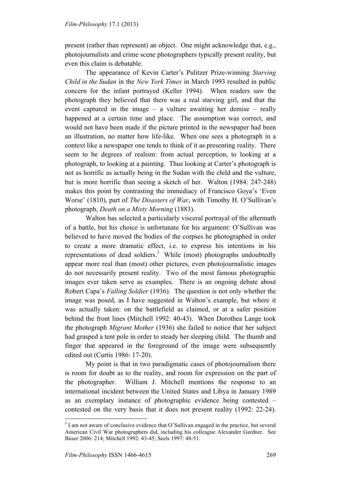present (rather than represent) an object. One might acknowledge that, e.g., photojournalists and crime scene photographers typically present reality, but even this claim is debatable.

The appearance of Kevin Carter's Pulitzer Prize-winning *Starving Child in the Sudan* in the *New York Times* in March 1993 resulted in public concern for the infant portrayed (Keller 1994). When readers saw the photograph they believed that there was a real starving girl, and that the event captured in the image – a vulture awaiting her demise – really happened at a certain time and place. The assumption was correct, and would not have been made if the picture printed in the newspaper had been an illustration, no matter how life-like. When one sees a photograph in a context like a newspaper one tends to think of it as presenting reality. There seem to be degrees of realism: from actual perception, to looking at a photograph, to looking at a painting. Thus looking at Carter's photograph is not as horrific as actually being in the Sudan with the child and the vulture, but is more horrific than seeing a sketch of her. Walton (1984: 247-248) makes this point by contrasting the immediacy of Francisco Goya's 'Even Worse' (1810), part of *The Disasters of War*, with Timothy H. O'Sullivan's photograph, *Death on a Misty Morning* (1883).

Walton has selected a particularly visceral portrayal of the aftermath of a battle, but his choice is unfortunate for his argument: O'Sullivan was believed to have moved the bodies of the corpses he photographed in order to create a more dramatic effect, i.e. to express his intentions in his representations of dead soldiers.<sup>3</sup> While (most) photographs undoubtedly appear more real than (most) other pictures, even photojournalistic images do not necessarily present reality. Two of the most famous photographic images ever taken serve as examples. There is an ongoing debate about Robert Capa's *Falling Soldier* (1936). The question is not only whether the image was posed, as I have suggested in Walton's example, but where it was actually taken: on the battlefield as claimed, or at a safer position behind the front lines (Mitchell 1992: 40-43). When Dorothea Lange took the photograph *Migrant Mother* (1936) she failed to notice that her subject had grasped a tent pole in order to steady her sleeping child. The thumb and finger that appeared in the foreground of the image were subsequently edited out (Curtis 1986: 17-20).

 My point is that in two paradigmatic cases of photojournalism there is room for doubt as to the reality, and room for expression on the part of the photographer. William J. Mitchell mentions the response to an international incident between the United States and Libya in January 1989 as an exemplary instance of photographic evidence being contested – contested on the very basis that it does not present reality (1992: 22-24).

<sup>&</sup>lt;sup>3</sup> I am not aware of conclusive evidence that O'Sullivan engaged in the practice, but several American Civil War photographers did, including his colleague Alexander Gardner. See Buser 2006: 214; Mitchell 1992: 43-45; Seels 1997: 48-51.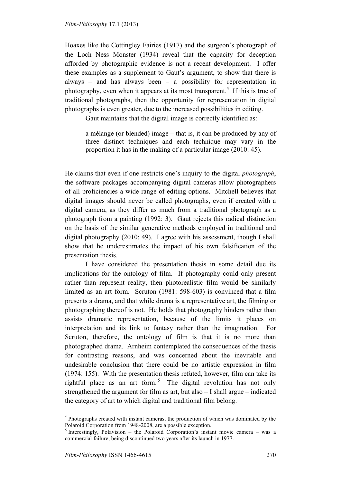Hoaxes like the Cottingley Fairies (1917) and the surgeon's photograph of the Loch Ness Monster (1934) reveal that the capacity for deception afforded by photographic evidence is not a recent development. I offer these examples as a supplement to Gaut's argument, to show that there is always – and has always been – a possibility for representation in photography, even when it appears at its most transparent.<sup>4</sup> If this is true of traditional photographs, then the opportunity for representation in digital photographs is even greater, due to the increased possibilities in editing.

Gaut maintains that the digital image is correctly identified as:

a mélange (or blended) image – that is, it can be produced by any of three distinct techniques and each technique may vary in the proportion it has in the making of a particular image (2010: 45).

He claims that even if one restricts one's inquiry to the digital *photograph*, the software packages accompanying digital cameras allow photographers of all proficiencies a wide range of editing options. Mitchell believes that digital images should never be called photographs, even if created with a digital camera, as they differ as much from a traditional photograph as a photograph from a painting (1992: 3). Gaut rejects this radical distinction on the basis of the similar generative methods employed in traditional and digital photography (2010: 49). I agree with his assessment, though I shall show that he underestimates the impact of his own falsification of the presentation thesis.

I have considered the presentation thesis in some detail due its implications for the ontology of film. If photography could only present rather than represent reality, then photorealistic film would be similarly limited as an art form. Scruton (1981: 598-603) is convinced that a film presents a drama, and that while drama is a representative art, the filming or photographing thereof is not. He holds that photography hinders rather than assists dramatic representation, because of the limits it places on interpretation and its link to fantasy rather than the imagination. For Scruton, therefore, the ontology of film is that it is no more than photographed drama. Arnheim contemplated the consequences of the thesis for contrasting reasons, and was concerned about the inevitable and undesirable conclusion that there could be no artistic expression in film (1974: 155). With the presentation thesis refuted, however, film can take its rightful place as an art form.<sup>5</sup> The digital revolution has not only strengthened the argument for film as art, but also – I shall argue – indicated the category of art to which digital and traditional film belong.

<sup>&</sup>lt;sup>4</sup> Photographs created with instant cameras, the production of which was dominated by the Polaroid Corporation from 1948-2008, are a possible exception.<br><sup>5</sup> Interestingly, Polavision – the Polaroid Corporation's instant movie camera – was a

commercial failure, being discontinued two years after its launch in 1977.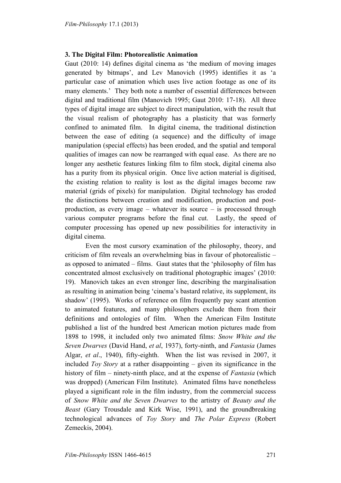### **3. The Digital Film: Photorealistic Animation**

Gaut (2010: 14) defines digital cinema as 'the medium of moving images generated by bitmaps', and Lev Manovich (1995) identifies it as 'a particular case of animation which uses live action footage as one of its many elements.' They both note a number of essential differences between digital and traditional film (Manovich 1995; Gaut 2010: 17-18). All three types of digital image are subject to direct manipulation, with the result that the visual realism of photography has a plasticity that was formerly confined to animated film. In digital cinema, the traditional distinction between the ease of editing (a sequence) and the difficulty of image manipulation (special effects) has been eroded, and the spatial and temporal qualities of images can now be rearranged with equal ease. As there are no longer any aesthetic features linking film to film stock, digital cinema also has a purity from its physical origin. Once live action material is digitised, the existing relation to reality is lost as the digital images become raw material (grids of pixels) for manipulation. Digital technology has eroded the distinctions between creation and modification, production and postproduction, as every image – whatever its source – is processed through various computer programs before the final cut. Lastly, the speed of computer processing has opened up new possibilities for interactivity in digital cinema.

Even the most cursory examination of the philosophy, theory, and criticism of film reveals an overwhelming bias in favour of photorealistic – as opposed to animated – films. Gaut states that the 'philosophy of film has concentrated almost exclusively on traditional photographic images' (2010: 19). Manovich takes an even stronger line, describing the marginalisation as resulting in animation being 'cinema's bastard relative, its supplement, its shadow' (1995). Works of reference on film frequently pay scant attention to animated features, and many philosophers exclude them from their definitions and ontologies of film. When the American Film Institute published a list of the hundred best American motion pictures made from 1898 to 1998, it included only two animated films: *Snow White and the Seven Dwarves* (David Hand, *et al*, 1937), forty-ninth, and *Fantasia* (James Algar, *et al*., 1940), fifty-eighth. When the list was revised in 2007, it included *Toy Story* at a rather disappointing – given its significance in the history of film – ninety-ninth place, and at the expense of *Fantasia* (which was dropped) (American Film Institute). Animated films have nonetheless played a significant role in the film industry, from the commercial success of *Snow White and the Seven Dwarves* to the artistry of *Beauty and the Beast* (Gary Trousdale and Kirk Wise, 1991), and the groundbreaking technological advances of *Toy Story* and *The Polar Express* (Robert Zemeckis, 2004).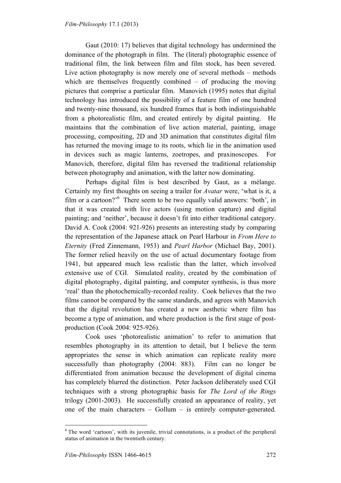Gaut (2010: 17) believes that digital technology has undermined the dominance of the photograph in film. The (literal) photographic essence of traditional film, the link between film and film stock, has been severed. Live action photography is now merely one of several methods – methods which are themselves frequently combined – of producing the moving pictures that comprise a particular film. Manovich (1995) notes that digital technology has introduced the possibility of a feature film of one hundred and twenty-nine thousand, six hundred frames that is both indistinguishable from a photorealistic film, and created entirely by digital painting. He maintains that the combination of live action material, painting, image processing, compositing, 2D and 3D animation that constitutes digital film has returned the moving image to its roots, which lie in the animation used in devices such as magic lanterns, zoetropes, and praxinoscopes. For Manovich, therefore, digital film has reversed the traditional relationship between photography and animation, with the latter now dominating.

Perhaps digital film is best described by Gaut, as a mélange. Certainly my first thoughts on seeing a trailer for *Avatar* were, 'what is it, a film or a cartoon?<sup>'6</sup> There seem to be two equally valid answers: 'both', in that it was created with live actors (using motion capture) and digital painting; and 'neither', because it doesn't fit into either traditional category. David A. Cook (2004: 921-926) presents an interesting study by comparing the representation of the Japanese attack on Pearl Harbour in *From Here to Eternity* (Fred Zinnemann, 1953) and *Pearl Harbor* (Michael Bay, 2001). The former relied heavily on the use of actual documentary footage from 1941, but appeared much less realistic than the latter, which involved extensive use of CGI. Simulated reality, created by the combination of digital photography, digital painting, and computer synthesis, is thus more 'real' than the photochemically-recorded reality. Cook believes that the two films cannot be compared by the same standards, and agrees with Manovich that the digital revolution has created a new aesthetic where film has become a type of animation, and where production is the first stage of postproduction (Cook 2004: 925-926).

 Cook uses 'photorealistic animation' to refer to animation that resembles photography in its attention to detail, but I believe the term appropriates the sense in which animation can replicate reality more successfully than photography (2004: 883). Film can no longer be differentiated from animation because the development of digital cinema has completely blurred the distinction. Peter Jackson deliberately used CGI techniques with a strong photographic basis for *The Lord of the Rings* trilogy (2001-2003). He successfully created an appearance of reality, yet one of the main characters – Gollum – is entirely computer-generated.

 $6$  The word 'cartoon', with its juvenile, trivial connotations, is a product of the peripheral status of animation in the twentieth century.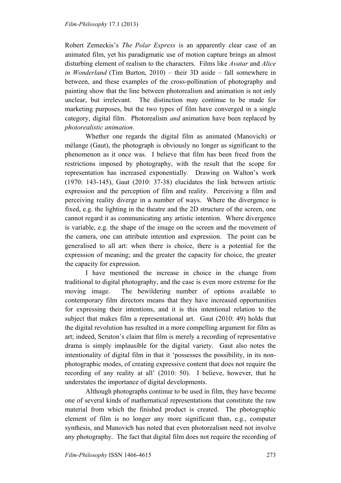Robert Zemeckis's *The Polar Express* is an apparently clear case of an animated film, yet his paradigmatic use of motion capture brings an almost disturbing element of realism to the characters. Films like *Avatar* and *Alice in Wonderland* (Tim Burton, 2010) – their 3D aside – fall somewhere in between, and these examples of the cross-pollination of photography and painting show that the line between photorealism and animation is not only unclear, but irrelevant. The distinction may continue to be made for marketing purposes, but the two types of film have converged in a single category, digital film. Photorealism *and* animation have been replaced by *photorealistic animation*.

Whether one regards the digital film as animated (Manovich) or mélange (Gaut), the photograph is obviously no longer as significant to the phenomenon as it once was. I believe that film has been freed from the restrictions imposed by photography, with the result that the scope for representation has increased exponentially. Drawing on Walton's work (1970: 143-145), Gaut (2010: 37-38) elucidates the link between artistic expression and the perception of film and reality. Perceiving a film and perceiving reality diverge in a number of ways. Where the divergence is fixed, e.g. the lighting in the theatre and the 2D structure of the screen, one cannot regard it as communicating any artistic intention. Where divergence is variable, e.g. the shape of the image on the screen and the movement of the camera, one can attribute intention and expression. The point can be generalised to all art: when there is choice, there is a potential for the expression of meaning; and the greater the capacity for choice, the greater the capacity for expression.

I have mentioned the increase in choice in the change from traditional to digital photography, and the case is even more extreme for the moving image. The bewildering number of options available to contemporary film directors means that they have increased opportunities for expressing their intentions, and it is this intentional relation to the subject that makes film a representational art. Gaut (2010: 49) holds that the digital revolution has resulted in a more compelling argument for film as art; indeed, Scruton's claim that film is merely a recording of representative drama is simply implausible for the digital variety. Gaut also notes the intentionality of digital film in that it 'possesses the possibility, in its nonphotographic modes, of creating expressive content that does not require the recording of any reality at all' (2010: 50). I believe, however, that he understates the importance of digital developments.

Although photographs continue to be used in film, they have become one of several kinds of mathematical representations that constitute the raw material from which the finished product is created. The photographic element of film is no longer any more significant than, e.g., computer synthesis, and Manovich has noted that even photorealism need not involve any photography. The fact that digital film does not require the recording of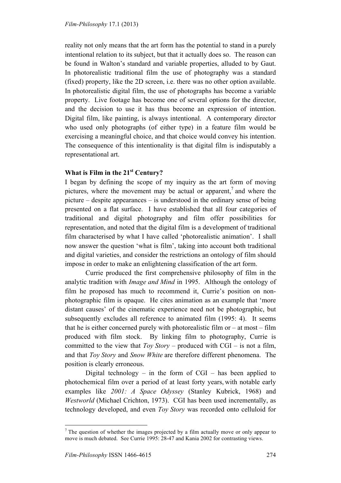reality not only means that the art form has the potential to stand in a purely intentional relation to its subject, but that it actually does so. The reason can be found in Walton's standard and variable properties, alluded to by Gaut. In photorealistic traditional film the use of photography was a standard (fixed) property, like the 2D screen, i.e. there was no other option available. In photorealistic digital film, the use of photographs has become a variable property. Live footage has become one of several options for the director, and the decision to use it has thus become an expression of intention. Digital film, like painting, is always intentional. A contemporary director who used only photographs (of either type) in a feature film would be exercising a meaningful choice, and that choice would convey his intention. The consequence of this intentionality is that digital film is indisputably a representational art.

## **What is Film in the 21st Century?**

I began by defining the scope of my inquiry as the art form of moving pictures, where the movement may be actual or apparent, $\alpha$  and where the picture – despite appearances – is understood in the ordinary sense of being presented on a flat surface. I have established that all four categories of traditional and digital photography and film offer possibilities for representation, and noted that the digital film is a development of traditional film characterised by what I have called 'photorealistic animation'. I shall now answer the question 'what is film', taking into account both traditional and digital varieties, and consider the restrictions an ontology of film should impose in order to make an enlightening classification of the art form.

Currie produced the first comprehensive philosophy of film in the analytic tradition with *Image and Mind* in 1995. Although the ontology of film he proposed has much to recommend it, Currie's position on nonphotographic film is opaque. He cites animation as an example that 'more distant causes' of the cinematic experience need not be photographic, but subsequently excludes all reference to animated film (1995: 4). It seems that he is either concerned purely with photorealistic film or  $-$  at most  $-$  film produced with film stock. By linking film to photography, Currie is committed to the view that *Toy Story* – produced with CGI – is not a film, and that *Toy Story* and *Snow White* are therefore different phenomena. The position is clearly erroneous.

Digital technology – in the form of  $CGI$  – has been applied to photochemical film over a period of at least forty years, with notable early examples like *2001: A Space Odyssey* (Stanley Kubrick, 1968) and *Westworld* (Michael Crichton, 1973). CGI has been used incrementally, as technology developed, and even *Toy Story* was recorded onto celluloid for

 $<sup>7</sup>$  The question of whether the images projected by a film actually move or only appear to</sup> move is much debated. See Currie 1995: 28-47 and Kania 2002 for contrasting views.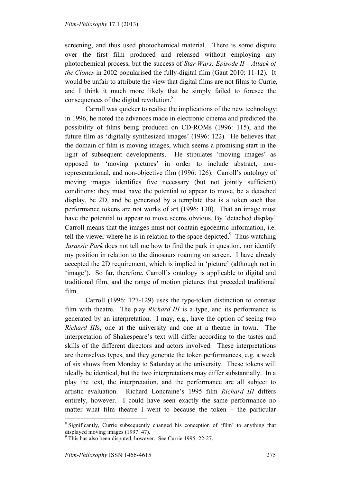screening, and thus used photochemical material. There is some dispute over the first film produced and released without employing any photochemical process, but the success of *Star Wars: Episode II – Attack of the Clones* in 2002 popularised the fully-digital film (Gaut 2010: 11-12). It would be unfair to attribute the view that digital films are not films to Currie, and I think it much more likely that he simply failed to foresee the consequences of the digital revolution. $8<sup>8</sup>$ 

Carroll was quicker to realise the implications of the new technology: in 1996, he noted the advances made in electronic cinema and predicted the possibility of films being produced on CD-ROMs (1996: 115), and the future film as 'digitally synthesized images' (1996: 122). He believes that the domain of film is moving images, which seems a promising start in the light of subsequent developments. He stipulates 'moving images' as opposed to 'moving pictures' in order to include abstract, nonrepresentational, and non-objective film (1996: 126). Carroll's ontology of moving images identifies five necessary (but not jointly sufficient) conditions: they must have the potential to appear to move, be a detached display, be 2D, and be generated by a template that is a token such that performance tokens are not works of art (1996: 130). That an image must have the potential to appear to move seems obvious. By 'detached display' Carroll means that the images must not contain egocentric information, i.e. tell the viewer where he is in relation to the space depicted. $\degree$  Thus watching *Jurassic Park* does not tell me how to find the park in question, nor identify my position in relation to the dinosaurs roaming on screen. I have already accepted the 2D requirement, which is implied in 'picture' (although not in 'image'). So far, therefore, Carroll's ontology is applicable to digital and traditional film, and the range of motion pictures that preceded traditional film.

Carroll (1996: 127-129) uses the type-token distinction to contrast film with theatre. The play *Richard III* is a type, and its performance is generated by an interpretation. I may, e.g., have the option of seeing two *Richard III*s, one at the university and one at a theatre in town. The interpretation of Shakespeare's text will differ according to the tastes and skills of the different directors and actors involved. These interpretations are themselves types, and they generate the token performances, e.g. a week of six shows from Monday to Saturday at the university. These tokens will ideally be identical, but the two interpretations may differ substantially. In a play the text, the interpretation, and the performance are all subject to artistic evaluation. Richard Loncraine's 1995 film *Richard III* differs entirely, however. I could have seen exactly the same performance no matter what film theatre I went to because the token – the particular

<sup>&</sup>lt;sup>8</sup> Significantly, Currie subsequently changed his conception of 'film' to anything that displayed moving images (1997: 47).

<sup>&</sup>lt;sup>9</sup> This has also been disputed, however. See Currie 1995: 22-27.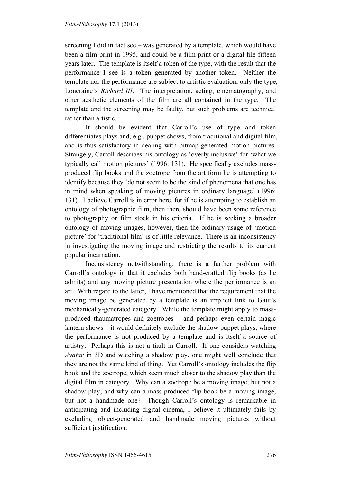screening I did in fact see – was generated by a template, which would have been a film print in 1995, and could be a film print or a digital file fifteen years later. The template is itself a token of the type, with the result that the performance I see is a token generated by another token. Neither the template nor the performance are subject to artistic evaluation, only the type, Loncraine's *Richard III*. The interpretation, acting, cinematography, and other aesthetic elements of the film are all contained in the type. The template and the screening may be faulty, but such problems are technical rather than artistic.

 It should be evident that Carroll's use of type and token differentiates plays and, e.g., puppet shows, from traditional and digital film, and is thus satisfactory in dealing with bitmap-generated motion pictures. Strangely, Carroll describes his ontology as 'overly inclusive' for 'what we typically call motion pictures' (1996: 131). He specifically excludes massproduced flip books and the zoetrope from the art form he is attempting to identify because they 'do not seem to be the kind of phenomena that one has in mind when speaking of moving pictures in ordinary language' (1996: 131). I believe Carroll is in error here, for if he is attempting to establish an ontology of photographic film, then there should have been some reference to photography or film stock in his criteria. If he is seeking a broader ontology of moving images, however, then the ordinary usage of 'motion picture' for 'traditional film' is of little relevance. There is an inconsistency in investigating the moving image and restricting the results to its current popular incarnation.

Inconsistency notwithstanding, there is a further problem with Carroll's ontology in that it excludes both hand-crafted flip books (as he admits) and any moving picture presentation where the performance is an art. With regard to the latter, I have mentioned that the requirement that the moving image be generated by a template is an implicit link to Gaut's mechanically-generated category. While the template might apply to massproduced thaumatropes and zoetropes – and perhaps even certain magic lantern shows – it would definitely exclude the shadow puppet plays, where the performance is not produced by a template and is itself a source of artistry. Perhaps this is not a fault in Carroll. If one considers watching *Avatar* in 3D and watching a shadow play, one might well conclude that they are not the same kind of thing. Yet Carroll's ontology includes the flip book and the zoetrope, which seem much closer to the shadow play than the digital film in category. Why can a zoetrope be a moving image, but not a shadow play; and why can a mass-produced flip book be a moving image, but not a handmade one? Though Carroll's ontology is remarkable in anticipating and including digital cinema, I believe it ultimately fails by excluding object-generated and handmade moving pictures without sufficient justification.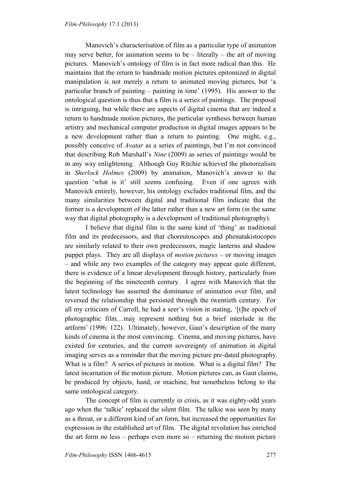Manovich's characterisation of film as a particular type of animation may serve better, for animation seems to be  $-$  literally  $-$  the art of moving pictures. Manovich's ontology of film is in fact more radical than this. He maintains that the return to handmade motion pictures epitomized in digital manipulation is not merely a return to animated moving pictures, but 'a particular branch of painting – painting in time' (1995). His answer to the ontological question is thus that a film is a series of paintings. The proposal is intriguing, but while there are aspects of digital cinema that are indeed a return to handmade motion pictures, the particular synthesis between human artistry and mechanical computer production in digital images appears to be a new development rather than a return to painting. One might, e.g., possibly conceive of *Avatar* as a series of paintings, but I'm not convinced that describing Rob Marshall's *Nine* (2009) as series of paintings would be in any way enlightening. Although Guy Ritchie achieved the photorealism in *Sherlock Holmes* (2009) by animation, Manovich's answer to the question 'what is it' still seems confusing. Even if one agrees with Manovich entirely, however, his ontology excludes traditional film, and the many similarities between digital and traditional film indicate that the former is a development of the latter rather than a new art form (in the same way that digital photography is a development of traditional photography).

I believe that digital film is the same kind of 'thing' as traditional film and its predecessors, and that choreutoscopes and phenatakistocopes are similarly related to their own predecessors, magic lanterns and shadow puppet plays. They are all displays of *motion pictures* – or moving images – and while any two examples of the category may appear quite different, there is evidence of a linear development through history, particularly from the beginning of the nineteenth century. I agree with Manovich that the latest technology has asserted the dominance of animation over film, and reversed the relationship that persisted through the twentieth century. For all my criticism of Carroll, he had a seer's vision in stating, '[t]he epoch of photographic film…may represent nothing but a brief interlude in the artform' (1996: 122). Ultimately, however, Gaut's description of the many kinds of cinema is the most convincing. Cinema, and moving pictures, have existed for centuries, and the current sovereignty of animation in digital imaging serves as a reminder that the moving picture pre-dated photography. What is a film? A series of pictures in motion. What is a digital film? The latest incarnation of the motion picture. Motion pictures can, as Gaut claims, be produced by objects, hand, or machine, but nonetheless belong to the same ontological category.

The concept of film is currently in crisis, as it was eighty-odd years ago when the 'talkie' replaced the silent film. The talkie was seen by many as a threat, or a different kind of art form, but increased the opportunities for expression in the established art of film. The digital revolution has enriched the art form no less – perhaps even more so – returning the motion picture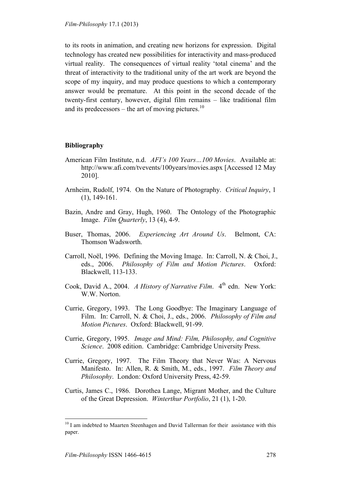*Film-Philosophy* 17.1 (2013)

to its roots in animation, and creating new horizons for expression. Digital technology has created new possibilities for interactivity and mass-produced virtual reality. The consequences of virtual reality 'total cinema' and the threat of interactivity to the traditional unity of the art work are beyond the scope of my inquiry, and may produce questions to which a contemporary answer would be premature. At this point in the second decade of the twenty-first century, however, digital film remains – like traditional film and its predecessors – the art of moving pictures.<sup>10</sup>

#### **Bibliography**

- American Film Institute, n.d. *AFI's 100 Years…100 Movies*. Available at: http://www.afi.com/tvevents/100years/movies.aspx [Accessed 12 May 2010].
- Arnheim, Rudolf, 1974. On the Nature of Photography. *Critical Inquiry*, 1 (1), 149-161.
- Bazin, Andre and Gray, Hugh, 1960. The Ontology of the Photographic Image. *Film Quarterly*, 13 (4), 4-9.
- Buser, Thomas, 2006. *Experiencing Art Around Us*. Belmont, CA: Thomson Wadsworth.
- Carroll, Noël, 1996. Defining the Moving Image. In: Carroll, N. & Choi, J., eds., 2006. *Philosophy of Film and Motion Pictures*. Oxford: Blackwell, 113-133.
- Cook, David A., 2004. *A History of Narrative Film.* 4<sup>th</sup> edn. New York: W.W. Norton.
- Currie, Gregory, 1993. The Long Goodbye: The Imaginary Language of Film. In: Carroll, N. & Choi, J., eds., 2006. *Philosophy of Film and Motion Pictures*. Oxford: Blackwell, 91-99.
- Currie, Gregory, 1995. *Image and Mind: Film, Philosophy, and Cognitive Science*. 2008 edition. Cambridge: Cambridge University Press.
- Currie, Gregory, 1997. The Film Theory that Never Was: A Nervous Manifesto. In: Allen, R. & Smith, M., eds., 1997. *Film Theory and Philosophy*. London: Oxford University Press, 42-59.
- Curtis, James C., 1986. Dorothea Lange, Migrant Mother, and the Culture of the Great Depression. *Winterthur Portfolio*, 21 (1), 1-20.

 $10$  I am indebted to Maarten Steenhagen and David Tallerman for their assistance with this paper.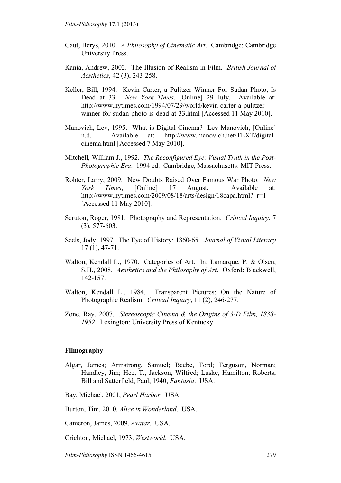- Gaut, Berys, 2010. *A Philosophy of Cinematic Art*. Cambridge: Cambridge University Press.
- Kania, Andrew, 2002. The Illusion of Realism in Film. *British Journal of Aesthetics*, 42 (3), 243-258.
- Keller, Bill, 1994. Kevin Carter, a Pulitzer Winner For Sudan Photo, Is Dead at 33. *New York Times*, [Online] 29 July. Available at: http://www.nytimes.com/1994/07/29/world/kevin-carter-a-pulitzerwinner-for-sudan-photo-is-dead-at-33.html [Accessed 11 May 2010].
- Manovich, Lev, 1995. What is Digital Cinema? Lev Manovich, [Online] n.d. Available at: http://www.manovich.net/TEXT/digitalcinema.html [Accessed 7 May 2010].
- Mitchell, William J., 1992. *The Reconfigured Eye: Visual Truth in the Post-Photographic Era*. 1994 ed. Cambridge, Massachusetts: MIT Press.
- Rohter, Larry, 2009. New Doubts Raised Over Famous War Photo. *New York Times*, [Online] 17 August. Available at: http://www.nytimes.com/2009/08/18/arts/design/18capa.html? r=1 [Accessed 11 May 2010].
- Scruton, Roger, 1981. Photography and Representation. *Critical Inquiry*, 7 (3), 577-603.
- Seels, Jody, 1997. The Eye of History: 1860-65. *Journal of Visual Literacy*, 17 (1), 47-71.
- Walton, Kendall L., 1970. Categories of Art. In: Lamarque, P. & Olsen, S.H., 2008. *Aesthetics and the Philosophy of Art*. Oxford: Blackwell, 142-157.
- Walton, Kendall L., 1984. Transparent Pictures: On the Nature of Photographic Realism. *Critical Inquiry*, 11 (2), 246-277.
- Zone, Ray, 2007. *Stereoscopic Cinema & the Origins of 3-D Film, 1838- 1952*. Lexington: University Press of Kentucky.

#### **Filmography**

- Algar, James; Armstrong, Samuel; Beebe, Ford; Ferguson, Norman; Handley, Jim; Hee, T., Jackson, Wilfred; Luske, Hamilton; Roberts, Bill and Satterfield, Paul, 1940, *Fantasia*. USA.
- Bay, Michael, 2001, *Pearl Harbor*. USA.
- Burton, Tim, 2010, *Alice in Wonderland*. USA.
- Cameron, James, 2009, *Avatar*. USA.
- Crichton, Michael, 1973, *Westworld*. USA.

*Film-Philosophy* ISSN 1466-4615 279